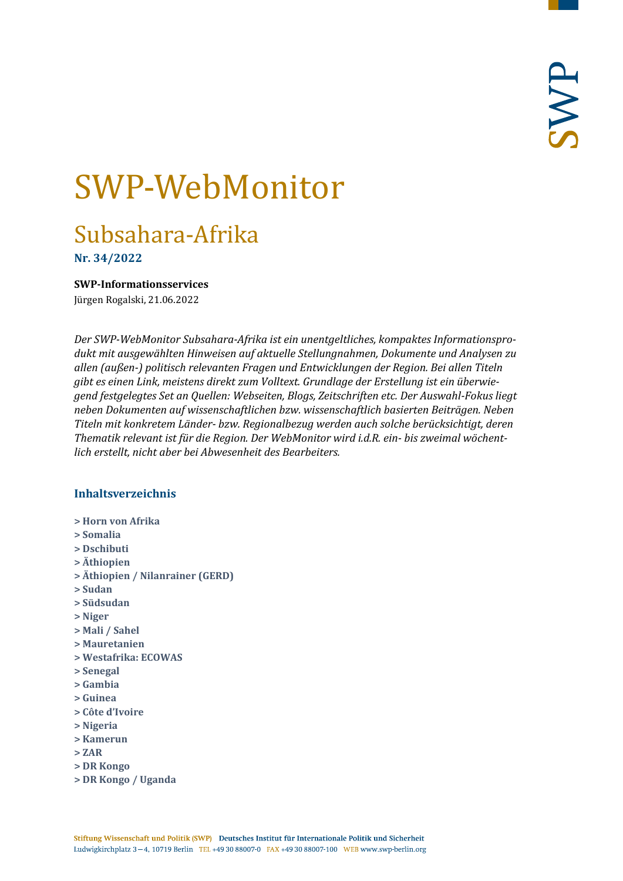# SWP-WebMonitor

# Subsahara-Afrika

**Nr. 34/2022**

<span id="page-0-0"></span>**SWP-Informationsservices**

Jürgen Rogalski, 21.06.2022

*Der SWP-WebMonitor Subsahara-Afrika ist ein unentgeltliches, kompaktes Informationsprodukt mit ausgewählten Hinweisen auf aktuelle Stellungnahmen, Dokumente und Analysen zu allen (außen-) politisch relevanten Fragen und Entwicklungen der Region. Bei allen Titeln gibt es einen Link, meistens direkt zum Volltext. Grundlage der Erstellung ist ein überwiegend festgelegtes Set an Quellen: Webseiten, Blogs, Zeitschriften etc. Der Auswahl-Fokus liegt neben Dokumenten auf wissenschaftlichen bzw. wissenschaftlich basierten Beiträgen. Neben Titeln mit konkretem Länder- bzw. Regionalbezug werden auch solche berücksichtigt, deren Thematik relevant ist für die Region. Der WebMonitor wird i.d.R. ein- bis zweimal wöchentlich erstellt, nicht aber bei Abwesenheit des Bearbeiters.*

# **Inhaltsverzeichnis**

- **[> Horn von Afrika](#page-1-0)**
- **[> Somalia](#page-1-1)**
- **[> Dschibuti](#page-2-0)**
- **[> Äthiopien](#page-3-0)**
- **[> Äthiopien / Nilanrainer \(GERD\)](#page-3-1)**
- **[> Sudan](#page-4-0)**
- **[> Südsudan](#page-4-1)**
- **[> Niger](#page-5-0)**
- **[> Mali / Sahel](#page-5-1)**
- **[> Mauretanien](#page-6-0)**
- **[> Westafrika: ECOWAS](#page-6-1)**
- **[> Senegal](#page-6-2)**
- **[> Gambia](#page-7-0)**
- **[> Guinea](#page-7-1)**
- **[> Côte d'Ivoire](#page-7-2)**
- **[> Nigeria](#page-8-0)**
- **[> Kamerun](#page-8-1)**
- **[> ZAR](#page-8-2)**
- **[> DR Kongo](#page-9-0)**
- **[> DR Kongo / Uganda](#page-9-1)**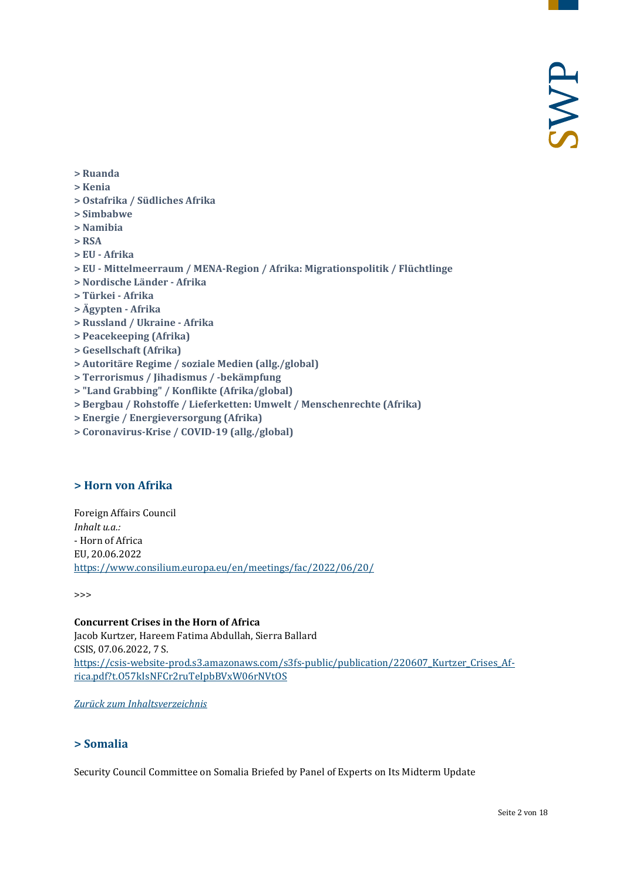- **[> Ruanda](#page-9-2)**
- **[> Kenia](#page-10-0)**
- **[> Ostafrika / Südliches Afrika](#page-10-1)**
- **[> Simbabwe](#page-10-2)**
- **[> Namibia](#page-11-0)**
- **[> RSA](#page-11-1)**
- **> EU - [Afrika](#page-12-0)**
- **> EU - [Mittelmeerraum / MENA-Region / Afrika: Migrationspolitik / Flüchtlinge](#page-12-1)**
- **[> Nordische Länder -](#page-13-0) Afrika**
- **[> Türkei -](#page-13-1) Afrika**
- **[> Ägypten -](#page-13-2) Afrika**
- **[> Russland / Ukraine -](#page-14-0) Afrika**
- **[> Peacekeeping \(Afrika\)](#page-14-1)**
- **[> Gesellschaft \(Afrika\)](#page-14-2)**
- **[> Autoritäre Regime / soziale Medien \(allg./global\)](#page-15-0)**
- **[> Terrorismus / Jihadismus / -bekämpfung](#page-15-1)**
- **[> "Land Grabbing" / Konflikte \(Afrika/global\)](#page-15-2)**
- **[> Bergbau / Rohstoffe / Lieferketten: Umwelt / Menschenrechte \(Afrika\)](#page-16-0)**
- **[> Energie / Energieversorgung \(Afrika\)](#page-16-1)**
- <span id="page-1-0"></span>**[> Coronavirus-Krise / COVID-19 \(allg./global\)](#page-16-2)**

#### **> Horn von Afrika**

Foreign Affairs Council *Inhalt u.a.:* - Horn of Africa EU, 20.06.2022 <https://www.consilium.europa.eu/en/meetings/fac/2022/06/20/>

>>>

**Concurrent Crises in the Horn of Africa** Jacob Kurtzer, Hareem Fatima Abdullah, Sierra Ballard CSIS, 07.06.2022, 7 S. [https://csis-website-prod.s3.amazonaws.com/s3fs-public/publication/220607\\_Kurtzer\\_Crises\\_Af](https://csis-website-prod.s3.amazonaws.com/s3fs-public/publication/220607_Kurtzer_Crises_Africa.pdf?t.O57kIsNFCr2ruTeIpbBVxW06rNVtOS)[rica.pdf?t.O57kIsNFCr2ruTeIpbBVxW06rNVtOS](https://csis-website-prod.s3.amazonaws.com/s3fs-public/publication/220607_Kurtzer_Crises_Africa.pdf?t.O57kIsNFCr2ruTeIpbBVxW06rNVtOS)

<span id="page-1-1"></span>*[Zurück zum Inhaltsverzeichnis](#page-0-0)*

# **> Somalia**

Security Council Committee on Somalia Briefed by Panel of Experts on Its Midterm Update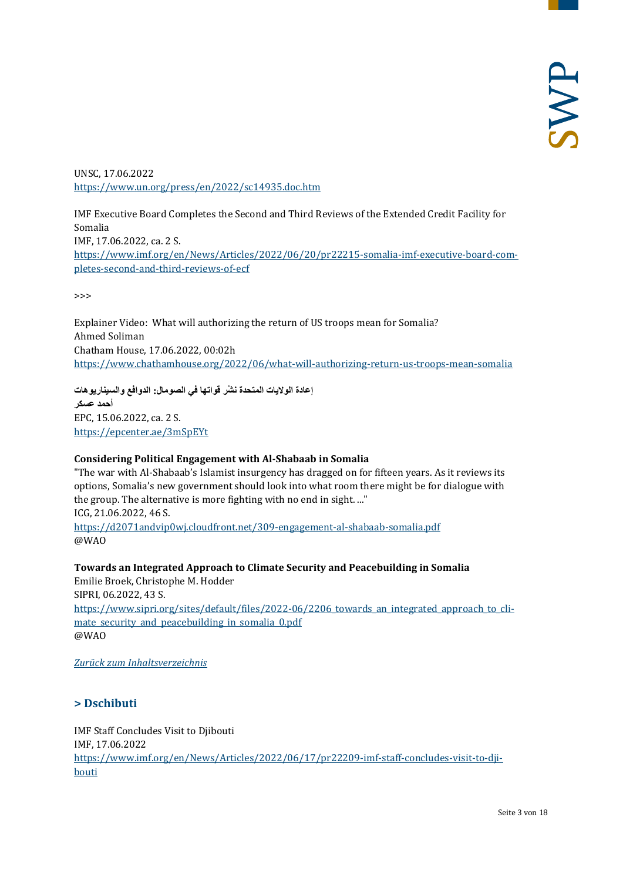UNSC, 17.06.2022 <https://www.un.org/press/en/2022/sc14935.doc.htm>

IMF Executive Board Completes the Second and Third Reviews of the Extended Credit Facility for Somalia IMF, 17.06.2022, ca. 2 S. [https://www.imf.org/en/News/Articles/2022/06/20/pr22215-somalia-imf-executive-board-com](https://www.imf.org/en/News/Articles/2022/06/20/pr22215-somalia-imf-executive-board-completes-second-and-third-reviews-of-ecf)[pletes-second-and-third-reviews-of-ecf](https://www.imf.org/en/News/Articles/2022/06/20/pr22215-somalia-imf-executive-board-completes-second-and-third-reviews-of-ecf)

 $\rightarrow$ 

Explainer Video: What will authorizing the return of US troops mean for Somalia? Ahmed Soliman Chatham House, 17.06.2022, 00:02h <https://www.chathamhouse.org/2022/06/what-will-authorizing-return-us-troops-mean-somalia>

**ْ إعادة الولایات المتحدة نشر قواتھا في الصومال: الدوافع والسیناریوھات أحمد عسكر** EPC, 15.06.2022, ca. 2 S. <https://epcenter.ae/3mSpEYt>

#### **Considering Political Engagement with Al-Shabaab in Somalia**

"The war with Al-Shabaab's Islamist insurgency has dragged on for fifteen years. As it reviews its options, Somalia's new government should look into what room there might be for dialogue with the group. The alternative is more fighting with no end in sight. ..." ICG, 21.06.2022, 46 S. <https://d2071andvip0wj.cloudfront.net/309-engagement-al-shabaab-somalia.pdf> @WAO

**Towards an Integrated Approach to Climate Security and Peacebuilding in Somalia** Emilie Broek, Christophe M. Hodder SIPRI, 06.2022, 43 S. https://www.sipri.org/sites/default/files/2022-06/2206 towards an integrated approach to cli[mate\\_security\\_and\\_peacebuilding\\_in\\_somalia\\_0.pdf](https://www.sipri.org/sites/default/files/2022-06/2206_towards_an_integrated_approach_to_climate_security_and_peacebuilding_in_somalia_0.pdf) @WAO

<span id="page-2-0"></span>*[Zurück zum Inhaltsverzeichnis](#page-0-0)*

# **> Dschibuti**

IMF Staff Concludes Visit to Djibouti IMF, 17.06.2022 [https://www.imf.org/en/News/Articles/2022/06/17/pr22209-imf-staff-concludes-visit-to-dji](https://www.imf.org/en/News/Articles/2022/06/17/pr22209-imf-staff-concludes-visit-to-djibouti)[bouti](https://www.imf.org/en/News/Articles/2022/06/17/pr22209-imf-staff-concludes-visit-to-djibouti)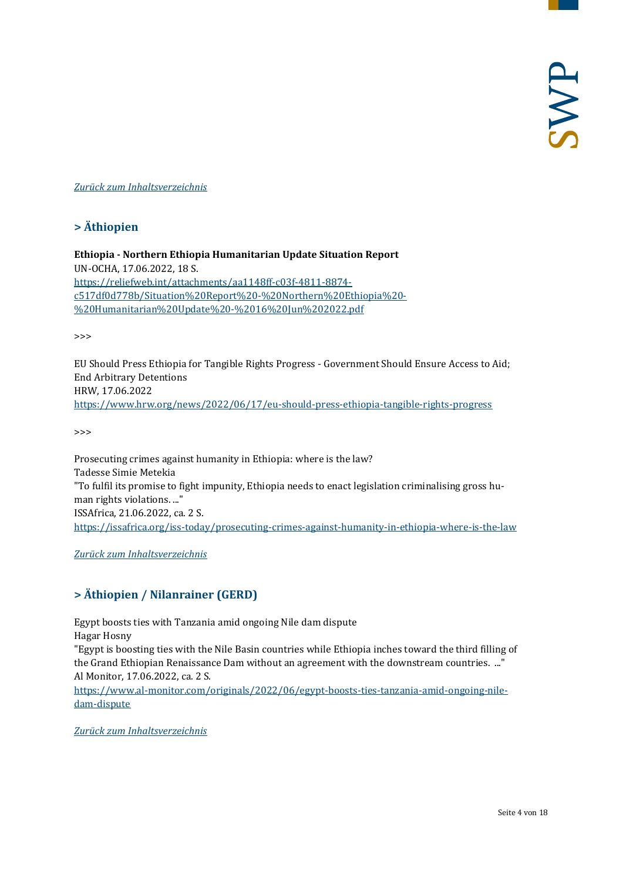#### <span id="page-3-0"></span>*[Zurück zum Inhaltsverzeichnis](#page-0-0)*

# **> Äthiopien**

**Ethiopia - Northern Ethiopia Humanitarian Update Situation Report** UN-OCHA, 17.06.2022, 18 S. [https://reliefweb.int/attachments/aa1148ff-c03f-4811-8874](https://reliefweb.int/attachments/aa1148ff-c03f-4811-8874-c517df0d778b/Situation%20Report%20-%20Northern%20Ethiopia%20-%20Humanitarian%20Update%20-%2016%20Jun%202022.pdf) [c517df0d778b/Situation%20Report%20-%20Northern%20Ethiopia%20-](https://reliefweb.int/attachments/aa1148ff-c03f-4811-8874-c517df0d778b/Situation%20Report%20-%20Northern%20Ethiopia%20-%20Humanitarian%20Update%20-%2016%20Jun%202022.pdf) [%20Humanitarian%20Update%20-%2016%20Jun%202022.pdf](https://reliefweb.int/attachments/aa1148ff-c03f-4811-8874-c517df0d778b/Situation%20Report%20-%20Northern%20Ethiopia%20-%20Humanitarian%20Update%20-%2016%20Jun%202022.pdf)

>>>

EU Should Press Ethiopia for Tangible Rights Progress - Government Should Ensure Access to Aid; End Arbitrary Detentions HRW, 17.06.2022 <https://www.hrw.org/news/2022/06/17/eu-should-press-ethiopia-tangible-rights-progress>

>>>

Prosecuting crimes against humanity in Ethiopia: where is the law? Tadesse Simie Metekia "To fulfil its promise to fight impunity, Ethiopia needs to enact legislation criminalising gross human rights violations. ..." ISSAfrica, 21.06.2022, ca. 2 S. <https://issafrica.org/iss-today/prosecuting-crimes-against-humanity-in-ethiopia-where-is-the-law>

<span id="page-3-1"></span>*[Zurück zum Inhaltsverzeichnis](#page-0-0)*

# **> Äthiopien / Nilanrainer (GERD)**

Egypt boosts ties with Tanzania amid ongoing Nile dam dispute Hagar Hosny

"Egypt is boosting ties with the Nile Basin countries while Ethiopia inches toward the third filling of the Grand Ethiopian Renaissance Dam without an agreement with the downstream countries. ..." Al Monitor, 17.06.2022, ca. 2 S.

[https://www.al-monitor.com/originals/2022/06/egypt-boosts-ties-tanzania-amid-ongoing-nile](https://www.al-monitor.com/originals/2022/06/egypt-boosts-ties-tanzania-amid-ongoing-nile-dam-dispute)[dam-dispute](https://www.al-monitor.com/originals/2022/06/egypt-boosts-ties-tanzania-amid-ongoing-nile-dam-dispute)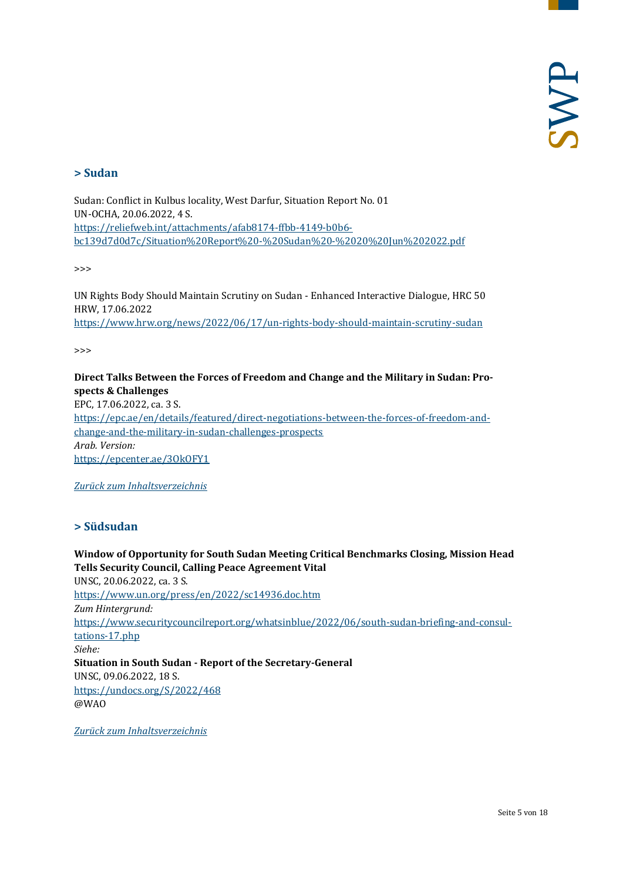### <span id="page-4-0"></span>**> Sudan**

Sudan: Conflict in Kulbus locality, West Darfur, Situation Report No. 01 UN-OCHA, 20.06.2022, 4 S. [https://reliefweb.int/attachments/afab8174-ffbb-4149-b0b6](https://reliefweb.int/attachments/afab8174-ffbb-4149-b0b6-bc139d7d0d7c/Situation%20Report%20-%20Sudan%20-%2020%20Jun%202022.pdf) [bc139d7d0d7c/Situation%20Report%20-%20Sudan%20-%2020%20Jun%202022.pdf](https://reliefweb.int/attachments/afab8174-ffbb-4149-b0b6-bc139d7d0d7c/Situation%20Report%20-%20Sudan%20-%2020%20Jun%202022.pdf)

>>>

UN Rights Body Should Maintain Scrutiny on Sudan - Enhanced Interactive Dialogue, HRC 50 HRW, 17.06.2022 <https://www.hrw.org/news/2022/06/17/un-rights-body-should-maintain-scrutiny-sudan>

>>>

# **Direct Talks Between the Forces of Freedom and Change and the Military in Sudan: Prospects & Challenges**

EPC, 17.06.2022, ca. 3 S. [https://epc.ae/en/details/featured/direct-negotiations-between-the-forces-of-freedom-and](https://epc.ae/en/details/featured/direct-negotiations-between-the-forces-of-freedom-and-change-and-the-military-in-sudan-challenges-prospects)[change-and-the-military-in-sudan-challenges-prospects](https://epc.ae/en/details/featured/direct-negotiations-between-the-forces-of-freedom-and-change-and-the-military-in-sudan-challenges-prospects) *Arab. Version:* <https://epcenter.ae/3OkOFY1>

<span id="page-4-1"></span>*[Zurück zum Inhaltsverzeichnis](#page-0-0)*

# **> Südsudan**

**Window of Opportunity for South Sudan Meeting Critical Benchmarks Closing, Mission Head Tells Security Council, Calling Peace Agreement Vital** UNSC, 20.06.2022, ca. 3 S. <https://www.un.org/press/en/2022/sc14936.doc.htm> *Zum Hintergrund:* [https://www.securitycouncilreport.org/whatsinblue/2022/06/south-sudan-briefing-and-consul](https://www.securitycouncilreport.org/whatsinblue/2022/06/south-sudan-briefing-and-consultations-17.php)[tations-17.php](https://www.securitycouncilreport.org/whatsinblue/2022/06/south-sudan-briefing-and-consultations-17.php) *Siehe:* **Situation in South Sudan - Report of the Secretary-General** UNSC, 09.06.2022, 18 S. <https://undocs.org/S/2022/468> @WAO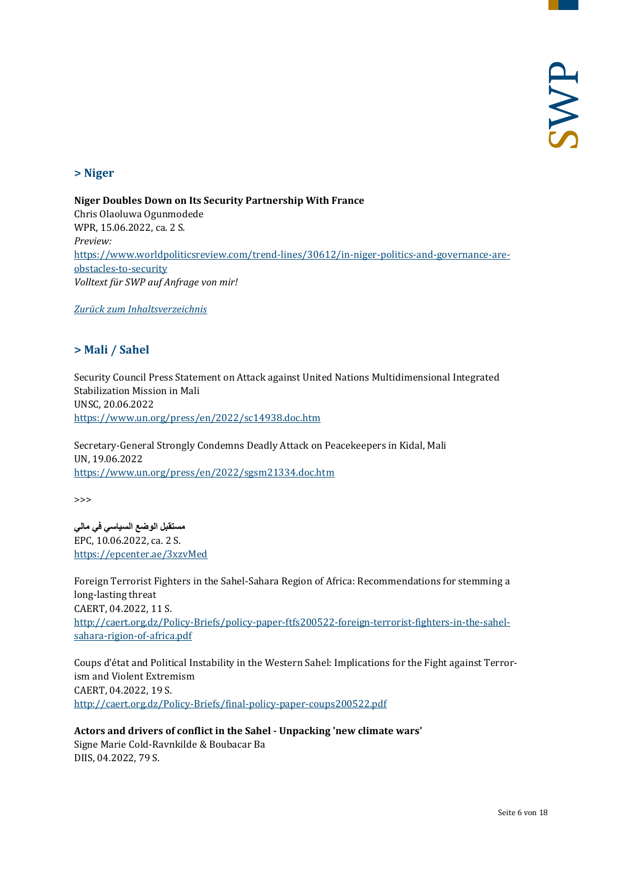#### <span id="page-5-0"></span>**> Niger**

**Niger Doubles Down on Its Security Partnership With France** Chris Olaoluwa Ogunmodede WPR, 15.06.2022, ca. 2 S. *Preview:* [https://www.worldpoliticsreview.com/trend-lines/30612/in-niger-politics-and-governance-are](https://www.worldpoliticsreview.com/trend-lines/30612/in-niger-politics-and-governance-are-obstacles-to-security)[obstacles-to-security](https://www.worldpoliticsreview.com/trend-lines/30612/in-niger-politics-and-governance-are-obstacles-to-security) *Volltext für SWP auf Anfrage von mir!*

<span id="page-5-1"></span>*[Zurück zum Inhaltsverzeichnis](#page-0-0)*

# **> Mali / Sahel**

Security Council Press Statement on Attack against United Nations Multidimensional Integrated Stabilization Mission in Mali UNSC, 20.06.2022 <https://www.un.org/press/en/2022/sc14938.doc.htm>

Secretary-General Strongly Condemns Deadly Attack on Peacekeepers in Kidal, Mali UN, 19.06.2022 <https://www.un.org/press/en/2022/sgsm21334.doc.htm>

>>>

**مستقبل الوضع السیاسي في مالي** EPC, 10.06.2022, ca. 2 S. <https://epcenter.ae/3xzvMed>

Foreign Terrorist Fighters in the Sahel-Sahara Region of Africa: Recommendations for stemming a long-lasting threat CAERT, 04.2022, 11 S. [http://caert.org.dz/Policy-Briefs/policy-paper-ftfs200522-foreign-terrorist-fighters-in-the-sahel](http://caert.org.dz/Policy-Briefs/policy-paper-ftfs200522-foreign-terrorist-fighters-in-the-sahel-sahara-rigion-of-africa.pdf)[sahara-rigion-of-africa.pdf](http://caert.org.dz/Policy-Briefs/policy-paper-ftfs200522-foreign-terrorist-fighters-in-the-sahel-sahara-rigion-of-africa.pdf)

Coups d'état and Political Instability in the Western Sahel: Implications for the Fight against Terrorism and Violent Extremism CAERT, 04.2022, 19 S. <http://caert.org.dz/Policy-Briefs/final-policy-paper-coups200522.pdf>

#### **Actors and drivers of conflict in the Sahel - Unpacking 'new climate wars'**

Signe Marie Cold-Ravnkilde & Boubacar Ba DIIS, 04.2022, 79 S.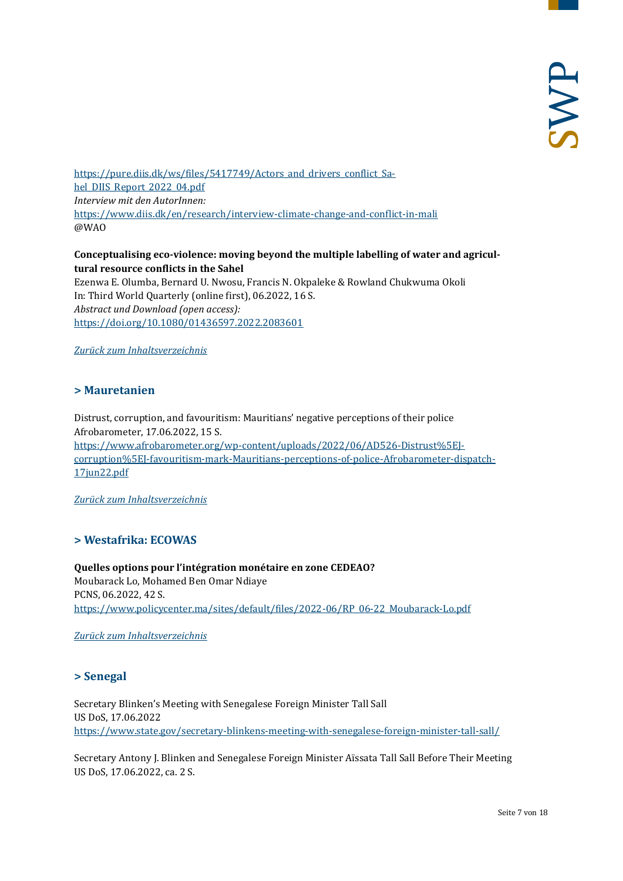https://pure.diis.dk/ws/files/5417749/Actors and drivers conflict Sa[hel\\_DIIS\\_Report\\_2022\\_04.pdf](https://pure.diis.dk/ws/files/5417749/Actors_and_drivers_conflict_Sahel_DIIS_Report_2022_04.pdf) *Interview mit den AutorInnen:* <https://www.diis.dk/en/research/interview-climate-change-and-conflict-in-mali> @WAO

### **Conceptualising eco-violence: moving beyond the multiple labelling of water and agricultural resource conflicts in the Sahel**

Ezenwa E. Olumba, Bernard U. Nwosu, Francis N. Okpaleke & Rowland Chukwuma Okoli In: Third World Quarterly (online first), 06.2022, 16 S. *Abstract und Download (open access):* <https://doi.org/10.1080/01436597.2022.2083601>

<span id="page-6-0"></span>*[Zurück zum Inhaltsverzeichnis](#page-0-0)*

#### **> Mauretanien**

Distrust, corruption, and favouritism: Mauritians' negative perceptions of their police Afrobarometer, 17.06.2022, 15 S. https://www.afrobarometer.org/wp-content/uploads/2022/06/AD526-Distrust%5EI[corruption%5EJ-favouritism-mark-Mauritians-perceptions-of-police-Afrobarometer-dispatch-](https://www.afrobarometer.org/wp-content/uploads/2022/06/AD526-Distrust%5EJ-corruption%5EJ-favouritism-mark-Mauritians-perceptions-of-police-Afrobarometer-dispatch-17jun22.pdf)[17jun22.pdf](https://www.afrobarometer.org/wp-content/uploads/2022/06/AD526-Distrust%5EJ-corruption%5EJ-favouritism-mark-Mauritians-perceptions-of-police-Afrobarometer-dispatch-17jun22.pdf)

<span id="page-6-1"></span>*[Zurück zum Inhaltsverzeichnis](#page-0-0)*

#### **> Westafrika: ECOWAS**

**Quelles options pour l'intégration monétaire en zone CEDEAO?** Moubarack Lo, Mohamed Ben Omar Ndiaye PCNS, 06.2022, 42 S. [https://www.policycenter.ma/sites/default/files/2022-06/RP\\_06-22\\_Moubarack-Lo.pdf](https://www.policycenter.ma/sites/default/files/2022-06/RP_06-22_Moubarack-Lo.pdf)

<span id="page-6-2"></span>*[Zurück zum Inhaltsverzeichnis](#page-0-0)*

# **> Senegal**

Secretary Blinken's Meeting with Senegalese Foreign Minister Tall Sall US DoS, 17.06.2022 <https://www.state.gov/secretary-blinkens-meeting-with-senegalese-foreign-minister-tall-sall/>

Secretary Antony J. Blinken and Senegalese Foreign Minister Aïssata Tall Sall Before Their Meeting US DoS, 17.06.2022, ca. 2 S.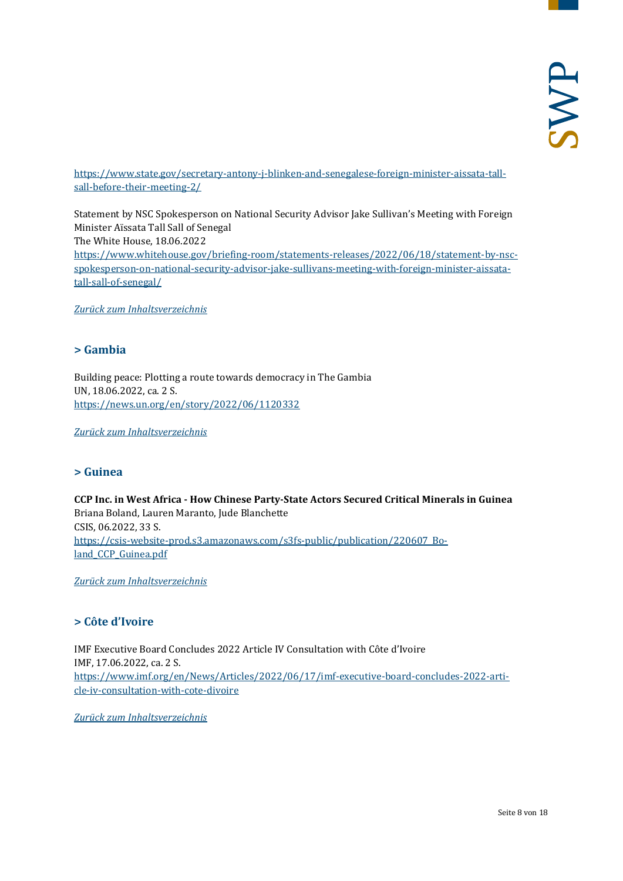[https://www.state.gov/secretary-antony-j-blinken-and-senegalese-foreign-minister-aissata-tall](https://www.state.gov/secretary-antony-j-blinken-and-senegalese-foreign-minister-aissata-tall-sall-before-their-meeting-2/)[sall-before-their-meeting-2/](https://www.state.gov/secretary-antony-j-blinken-and-senegalese-foreign-minister-aissata-tall-sall-before-their-meeting-2/)

Statement by NSC Spokesperson on National Security Advisor Jake Sullivan's Meeting with Foreign Minister Aïssata Tall Sall of Senegal The White House, 18.06.2022 [https://www.whitehouse.gov/briefing-room/statements-releases/2022/06/18/statement-by-nsc](https://www.whitehouse.gov/briefing-room/statements-releases/2022/06/18/statement-by-nsc-spokesperson-on-national-security-advisor-jake-sullivans-meeting-with-foreign-minister-aissata-tall-sall-of-senegal/)[spokesperson-on-national-security-advisor-jake-sullivans-meeting-with-foreign-minister-aissata](https://www.whitehouse.gov/briefing-room/statements-releases/2022/06/18/statement-by-nsc-spokesperson-on-national-security-advisor-jake-sullivans-meeting-with-foreign-minister-aissata-tall-sall-of-senegal/)[tall-sall-of-senegal/](https://www.whitehouse.gov/briefing-room/statements-releases/2022/06/18/statement-by-nsc-spokesperson-on-national-security-advisor-jake-sullivans-meeting-with-foreign-minister-aissata-tall-sall-of-senegal/)

<span id="page-7-0"></span>*[Zurück zum Inhaltsverzeichnis](#page-0-0)*

# **> Gambia**

Building peace: Plotting a route towards democracy in The Gambia UN, 18.06.2022, ca. 2 S. <https://news.un.org/en/story/2022/06/1120332>

<span id="page-7-1"></span>*[Zurück zum Inhaltsverzeichnis](#page-0-0)*

#### **> Guinea**

**CCP Inc. in West Africa - How Chinese Party-State Actors Secured Critical Minerals in Guinea** Briana Boland, Lauren Maranto, Jude Blanchette CSIS, 06.2022, 33 S. [https://csis-website-prod.s3.amazonaws.com/s3fs-public/publication/220607\\_Bo](https://csis-website-prod.s3.amazonaws.com/s3fs-public/publication/220607_Boland_CCP_Guinea.pdf)land CCP Guinea.pdf

<span id="page-7-2"></span>*[Zurück zum Inhaltsverzeichnis](#page-0-0)*

# **> Côte d'Ivoire**

IMF Executive Board Concludes 2022 Article IV Consultation with Côte d'Ivoire IMF, 17.06.2022, ca. 2 S. [https://www.imf.org/en/News/Articles/2022/06/17/imf-executive-board-concludes-2022-arti](https://www.imf.org/en/News/Articles/2022/06/17/imf-executive-board-concludes-2022-article-iv-consultation-with-cote-divoire)[cle-iv-consultation-with-cote-divoire](https://www.imf.org/en/News/Articles/2022/06/17/imf-executive-board-concludes-2022-article-iv-consultation-with-cote-divoire)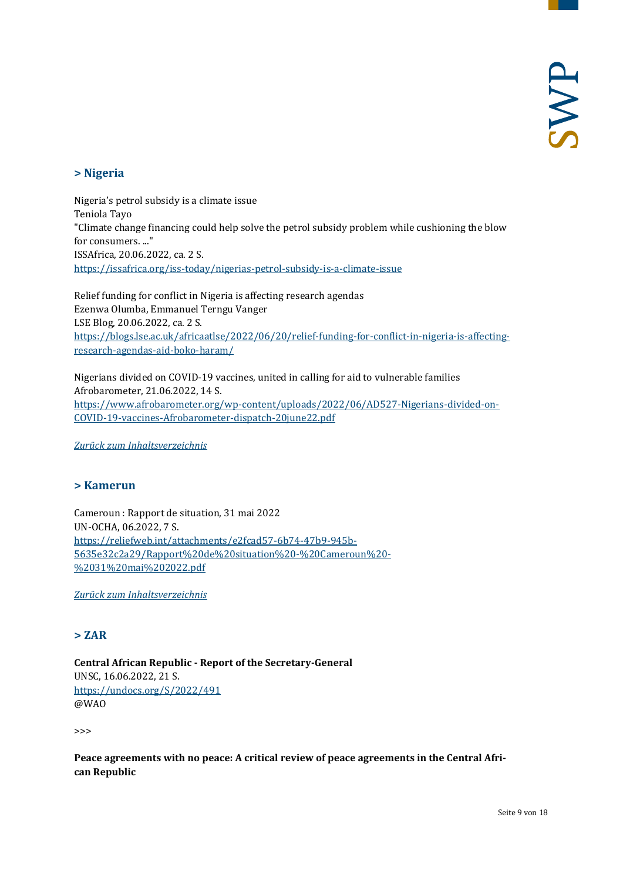# <span id="page-8-0"></span>**> Nigeria**

Nigeria's petrol subsidy is a climate issue Teniola Tayo "Climate change financing could help solve the petrol subsidy problem while cushioning the blow for consumers. ..." ISSAfrica, 20.06.2022, ca. 2 S. <https://issafrica.org/iss-today/nigerias-petrol-subsidy-is-a-climate-issue>

Relief funding for conflict in Nigeria is affecting research agendas Ezenwa Olumba, Emmanuel Terngu Vanger LSE Blog, 20.06.2022, ca. 2 S. [https://blogs.lse.ac.uk/africaatlse/2022/06/20/relief-funding-for-conflict-in-nigeria-is-affecting](https://blogs.lse.ac.uk/africaatlse/2022/06/20/relief-funding-for-conflict-in-nigeria-is-affecting-research-agendas-aid-boko-haram/)[research-agendas-aid-boko-haram/](https://blogs.lse.ac.uk/africaatlse/2022/06/20/relief-funding-for-conflict-in-nigeria-is-affecting-research-agendas-aid-boko-haram/)

Nigerians divided on COVID-19 vaccines, united in calling for aid to vulnerable families Afrobarometer, 21.06.2022, 14 S. [https://www.afrobarometer.org/wp-content/uploads/2022/06/AD527-Nigerians-divided-on-](https://www.afrobarometer.org/wp-content/uploads/2022/06/AD527-Nigerians-divided-on-COVID-19-vaccines-Afrobarometer-dispatch-20june22.pdf)[COVID-19-vaccines-Afrobarometer-dispatch-20june22.pdf](https://www.afrobarometer.org/wp-content/uploads/2022/06/AD527-Nigerians-divided-on-COVID-19-vaccines-Afrobarometer-dispatch-20june22.pdf)

<span id="page-8-1"></span>*[Zurück zum Inhaltsverzeichnis](#page-0-0)*

# **> Kamerun**

Cameroun : Rapport de situation, 31 mai 2022 UN-OCHA, 06.2022, 7 S. [https://reliefweb.int/attachments/e2fcad57-6b74-47b9-945b-](https://reliefweb.int/attachments/e2fcad57-6b74-47b9-945b-5635e32c2a29/Rapport%20de%20situation%20-%20Cameroun%20-%2031%20mai%202022.pdf)[5635e32c2a29/Rapport%20de%20situation%20-%20Cameroun%20-](https://reliefweb.int/attachments/e2fcad57-6b74-47b9-945b-5635e32c2a29/Rapport%20de%20situation%20-%20Cameroun%20-%2031%20mai%202022.pdf) [%2031%20mai%202022.pdf](https://reliefweb.int/attachments/e2fcad57-6b74-47b9-945b-5635e32c2a29/Rapport%20de%20situation%20-%20Cameroun%20-%2031%20mai%202022.pdf)

<span id="page-8-2"></span>*[Zurück zum Inhaltsverzeichnis](#page-0-0)*

# **> ZAR**

**Central African Republic - Report of the Secretary-General** UNSC, 16.06.2022, 21 S. <https://undocs.org/S/2022/491> @WAO

>>>

**Peace agreements with no peace: A critical review of peace agreements in the Central African Republic**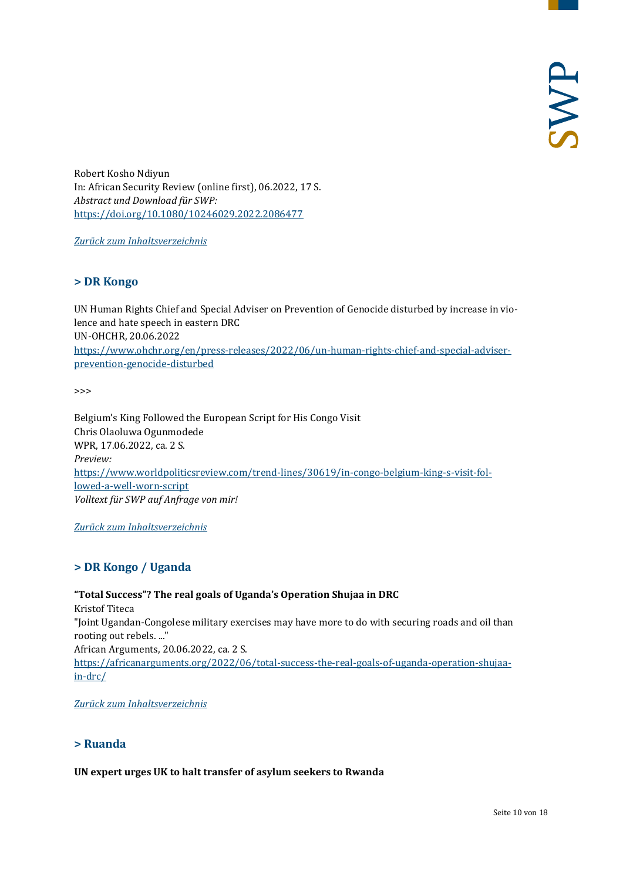Robert Kosho Ndiyun In: African Security Review (online first), 06.2022, 17 S. *Abstract und Download für SWP:* <https://doi.org/10.1080/10246029.2022.2086477>

<span id="page-9-0"></span>*[Zurück zum Inhaltsverzeichnis](#page-0-0)*

#### **> DR Kongo**

UN Human Rights Chief and Special Adviser on Prevention of Genocide disturbed by increase in violence and hate speech in eastern DRC UN-OHCHR, 20.06.2022 [https://www.ohchr.org/en/press-releases/2022/06/un-human-rights-chief-and-special-adviser](https://www.ohchr.org/en/press-releases/2022/06/un-human-rights-chief-and-special-adviser-prevention-genocide-disturbed)[prevention-genocide-disturbed](https://www.ohchr.org/en/press-releases/2022/06/un-human-rights-chief-and-special-adviser-prevention-genocide-disturbed)

>>>

Belgium's King Followed the European Script for His Congo Visit Chris Olaoluwa Ogunmodede WPR, 17.06.2022, ca. 2 S. *Preview:* [https://www.worldpoliticsreview.com/trend-lines/30619/in-congo-belgium-king-s-visit-fol](https://www.worldpoliticsreview.com/trend-lines/30619/in-congo-belgium-king-s-visit-followed-a-well-worn-script)[lowed-a-well-worn-script](https://www.worldpoliticsreview.com/trend-lines/30619/in-congo-belgium-king-s-visit-followed-a-well-worn-script) *Volltext für SWP auf Anfrage von mir!*

<span id="page-9-1"></span>*[Zurück zum Inhaltsverzeichnis](#page-0-0)*

# **> DR Kongo / Uganda**

**"Total Success"? The real goals of Uganda's Operation Shujaa in DRC** Kristof Titeca "Joint Ugandan-Congolese military exercises may have more to do with securing roads and oil than rooting out rebels. ..." African Arguments, 20.06.2022, ca. 2 S. [https://africanarguments.org/2022/06/total-success-the-real-goals-of-uganda-operation-shujaa](https://africanarguments.org/2022/06/total-success-the-real-goals-of-uganda-operation-shujaa-in-drc/)[in-drc/](https://africanarguments.org/2022/06/total-success-the-real-goals-of-uganda-operation-shujaa-in-drc/)

<span id="page-9-2"></span>*[Zurück zum Inhaltsverzeichnis](#page-0-0)*

# **> Ruanda**

**UN expert urges UK to halt transfer of asylum seekers to Rwanda**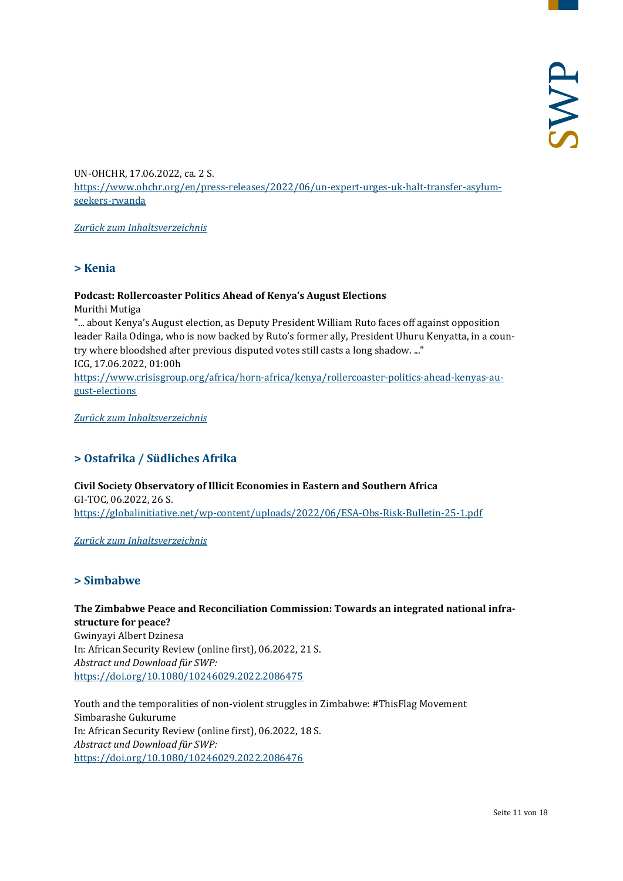UN-OHCHR, 17.06.2022, ca. 2 S. [https://www.ohchr.org/en/press-releases/2022/06/un-expert-urges-uk-halt-transfer-asylum](https://www.ohchr.org/en/press-releases/2022/06/un-expert-urges-uk-halt-transfer-asylum-seekers-rwanda)[seekers-rwanda](https://www.ohchr.org/en/press-releases/2022/06/un-expert-urges-uk-halt-transfer-asylum-seekers-rwanda)

<span id="page-10-0"></span>*[Zurück zum Inhaltsverzeichnis](#page-0-0)*

**> Kenia**

#### **Podcast: Rollercoaster Politics Ahead of Kenya's August Elections**

Murithi Mutiga

"... about Kenya's August election, as Deputy President William Ruto faces off against opposition leader Raila Odinga, who is now backed by Ruto's former ally, President Uhuru Kenyatta, in a country where bloodshed after previous disputed votes still casts a long shadow. ..." ICG, 17.06.2022, 01:00h

[https://www.crisisgroup.org/africa/horn-africa/kenya/rollercoaster-politics-ahead-kenyas-au](https://www.crisisgroup.org/africa/horn-africa/kenya/rollercoaster-politics-ahead-kenyas-august-elections)[gust-elections](https://www.crisisgroup.org/africa/horn-africa/kenya/rollercoaster-politics-ahead-kenyas-august-elections)

<span id="page-10-1"></span>*[Zurück zum Inhaltsverzeichnis](#page-0-0)*

# **> Ostafrika / Südliches Afrika**

**Civil Society Observatory of Illicit Economies in Eastern and Southern Africa** GI-TOC, 06.2022, 26 S. <https://globalinitiative.net/wp-content/uploads/2022/06/ESA-Obs-Risk-Bulletin-25-1.pdf>

<span id="page-10-2"></span>*[Zurück zum Inhaltsverzeichnis](#page-0-0)*

#### **> Simbabwe**

**The Zimbabwe Peace and Reconciliation Commission: Towards an integrated national infrastructure for peace?** Gwinyayi Albert Dzinesa In: African Security Review (online first), 06.2022, 21 S. *Abstract und Download für SWP:* <https://doi.org/10.1080/10246029.2022.2086475>

Youth and the temporalities of non-violent struggles in Zimbabwe: #ThisFlag Movement Simbarashe Gukurume In: African Security Review (online first), 06.2022, 18 S. *Abstract und Download für SWP:* <https://doi.org/10.1080/10246029.2022.2086476>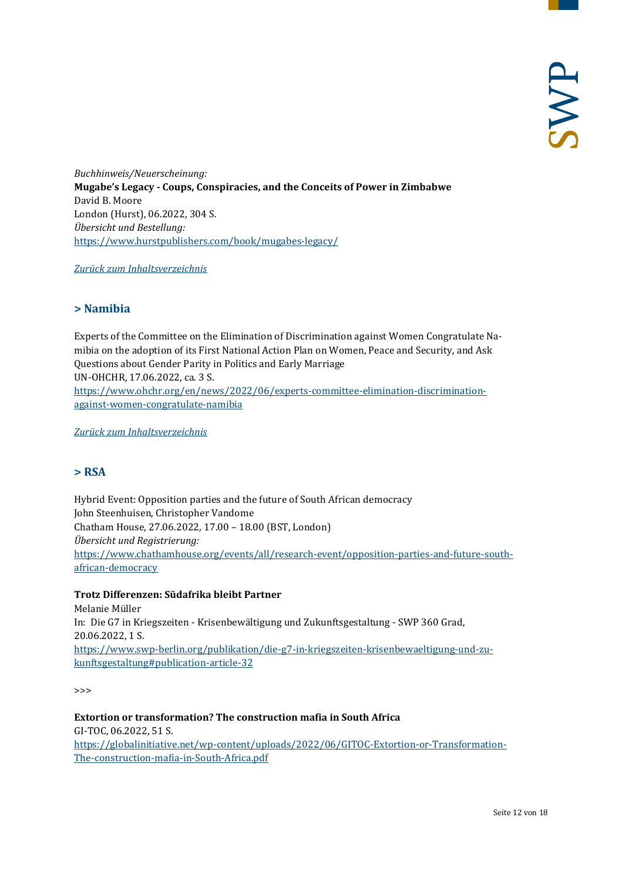*Buchhinweis/Neuerscheinung:* **Mugabe's Legacy - Coups, Conspiracies, and the Conceits of Power in Zimbabwe** David B. Moore London (Hurst), 06.2022, 304 S. *Übersicht und Bestellung:* <https://www.hurstpublishers.com/book/mugabes-legacy/>

<span id="page-11-0"></span>*[Zurück zum Inhaltsverzeichnis](#page-0-0)*

#### **> Namibia**

Experts of the Committee on the Elimination of Discrimination against Women Congratulate Namibia on the adoption of its First National Action Plan on Women, Peace and Security, and Ask Questions about Gender Parity in Politics and Early Marriage UN-OHCHR, 17.06.2022, ca. 3 S. [https://www.ohchr.org/en/news/2022/06/experts-committee-elimination-discrimination](https://www.ohchr.org/en/news/2022/06/experts-committee-elimination-discrimination-against-women-congratulate-namibia)[against-women-congratulate-namibia](https://www.ohchr.org/en/news/2022/06/experts-committee-elimination-discrimination-against-women-congratulate-namibia)

<span id="page-11-1"></span>*[Zurück zum Inhaltsverzeichnis](#page-0-0)*

# **> RSA**

Hybrid Event: Opposition parties and the future of South African democracy John Steenhuisen, Christopher Vandome Chatham House, 27.06.2022, 17.00 – 18.00 (BST, London) *Übersicht und Registrierung:* [https://www.chathamhouse.org/events/all/research-event/opposition-parties-and-future-south](https://www.chathamhouse.org/events/all/research-event/opposition-parties-and-future-south-african-democracy)[african-democracy](https://www.chathamhouse.org/events/all/research-event/opposition-parties-and-future-south-african-democracy)

#### **Trotz Differenzen: Südafrika bleibt Partner**

Melanie Müller In: Die G7 in Kriegszeiten - Krisenbewältigung und Zukunftsgestaltung - SWP 360 Grad, 20.06.2022, 1 S. [https://www.swp-berlin.org/publikation/die-g7-in-kriegszeiten-krisenbewaeltigung-und-zu](https://www.swp-berlin.org/publikation/die-g7-in-kriegszeiten-krisenbewaeltigung-und-zukunftsgestaltung#publication-article-32)[kunftsgestaltung#publication-article-32](https://www.swp-berlin.org/publikation/die-g7-in-kriegszeiten-krisenbewaeltigung-und-zukunftsgestaltung#publication-article-32)

>>>

**Extortion or transformation? The construction mafia in South Africa** GI-TOC, 06.2022, 51 S. [https://globalinitiative.net/wp-content/uploads/2022/06/GITOC-Extortion-or-Transformation-](https://globalinitiative.net/wp-content/uploads/2022/06/GITOC-Extortion-or-Transformation-The-construction-mafia-in-South-Africa.pdf)[The-construction-mafia-in-South-Africa.pdf](https://globalinitiative.net/wp-content/uploads/2022/06/GITOC-Extortion-or-Transformation-The-construction-mafia-in-South-Africa.pdf)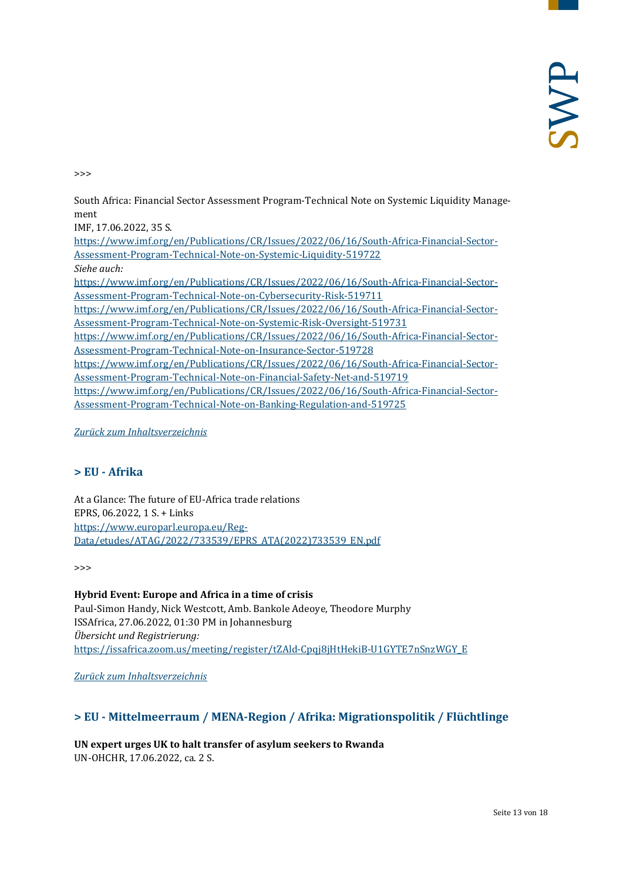>>>

South Africa: Financial Sector Assessment Program-Technical Note on Systemic Liquidity Management

IMF, 17.06.2022, 35 S. [https://www.imf.org/en/Publications/CR/Issues/2022/06/16/South-Africa-Financial-Sector-](https://www.imf.org/en/Publications/CR/Issues/2022/06/16/South-Africa-Financial-Sector-Assessment-Program-Technical-Note-on-Systemic-Liquidity-519722)[Assessment-Program-Technical-Note-on-Systemic-Liquidity-519722](https://www.imf.org/en/Publications/CR/Issues/2022/06/16/South-Africa-Financial-Sector-Assessment-Program-Technical-Note-on-Systemic-Liquidity-519722) *Siehe auch:* [https://www.imf.org/en/Publications/CR/Issues/2022/06/16/South-Africa-Financial-Sector-](https://www.imf.org/en/Publications/CR/Issues/2022/06/16/South-Africa-Financial-Sector-Assessment-Program-Technical-Note-on-Cybersecurity-Risk-519711)[Assessment-Program-Technical-Note-on-Cybersecurity-Risk-519711](https://www.imf.org/en/Publications/CR/Issues/2022/06/16/South-Africa-Financial-Sector-Assessment-Program-Technical-Note-on-Cybersecurity-Risk-519711) [https://www.imf.org/en/Publications/CR/Issues/2022/06/16/South-Africa-Financial-Sector-](https://www.imf.org/en/Publications/CR/Issues/2022/06/16/South-Africa-Financial-Sector-Assessment-Program-Technical-Note-on-Systemic-Risk-Oversight-519731)[Assessment-Program-Technical-Note-on-Systemic-Risk-Oversight-519731](https://www.imf.org/en/Publications/CR/Issues/2022/06/16/South-Africa-Financial-Sector-Assessment-Program-Technical-Note-on-Systemic-Risk-Oversight-519731) [https://www.imf.org/en/Publications/CR/Issues/2022/06/16/South-Africa-Financial-Sector-](https://www.imf.org/en/Publications/CR/Issues/2022/06/16/South-Africa-Financial-Sector-Assessment-Program-Technical-Note-on-Insurance-Sector-519728)[Assessment-Program-Technical-Note-on-Insurance-Sector-519728](https://www.imf.org/en/Publications/CR/Issues/2022/06/16/South-Africa-Financial-Sector-Assessment-Program-Technical-Note-on-Insurance-Sector-519728) [https://www.imf.org/en/Publications/CR/Issues/2022/06/16/South-Africa-Financial-Sector-](https://www.imf.org/en/Publications/CR/Issues/2022/06/16/South-Africa-Financial-Sector-Assessment-Program-Technical-Note-on-Financial-Safety-Net-and-519719)[Assessment-Program-Technical-Note-on-Financial-Safety-Net-and-519719](https://www.imf.org/en/Publications/CR/Issues/2022/06/16/South-Africa-Financial-Sector-Assessment-Program-Technical-Note-on-Financial-Safety-Net-and-519719) [https://www.imf.org/en/Publications/CR/Issues/2022/06/16/South-Africa-Financial-Sector-](https://www.imf.org/en/Publications/CR/Issues/2022/06/16/South-Africa-Financial-Sector-Assessment-Program-Technical-Note-on-Banking-Regulation-and-519725)[Assessment-Program-Technical-Note-on-Banking-Regulation-and-519725](https://www.imf.org/en/Publications/CR/Issues/2022/06/16/South-Africa-Financial-Sector-Assessment-Program-Technical-Note-on-Banking-Regulation-and-519725)

#### <span id="page-12-0"></span>*[Zurück zum Inhaltsverzeichnis](#page-0-0)*

# **> EU - Afrika**

At a Glance: The future of EU-Africa trade relations EPRS, 06.2022, 1 S. + Links [https://www.europarl.europa.eu/Reg-](https://www.europarl.europa.eu/RegData/etudes/ATAG/2022/733539/EPRS_ATA(2022)733539_EN.pdf)[Data/etudes/ATAG/2022/733539/EPRS\\_ATA\(2022\)733539\\_EN.pdf](https://www.europarl.europa.eu/RegData/etudes/ATAG/2022/733539/EPRS_ATA(2022)733539_EN.pdf)

>>>

**Hybrid Event: Europe and Africa in a time of crisis** Paul-Simon Handy, Nick Westcott, Amb. Bankole Adeoye, Theodore Murphy ISSAfrica, 27.06.2022, 01:30 PM in Johannesburg *Übersicht und Registrierung:* [https://issafrica.zoom.us/meeting/register/tZAld-Cpqj8jHtHekiB-U1GYTE7nSnzWGY\\_E](https://issafrica.zoom.us/meeting/register/tZAld-Cpqj8jHtHekiB-U1GYTE7nSnzWGY_E)

<span id="page-12-1"></span>*[Zurück zum Inhaltsverzeichnis](#page-0-0)*

# **> EU - Mittelmeerraum / MENA-Region / Afrika: Migrationspolitik / Flüchtlinge**

**UN expert urges UK to halt transfer of asylum seekers to Rwanda** UN-OHCHR, 17.06.2022, ca. 2 S.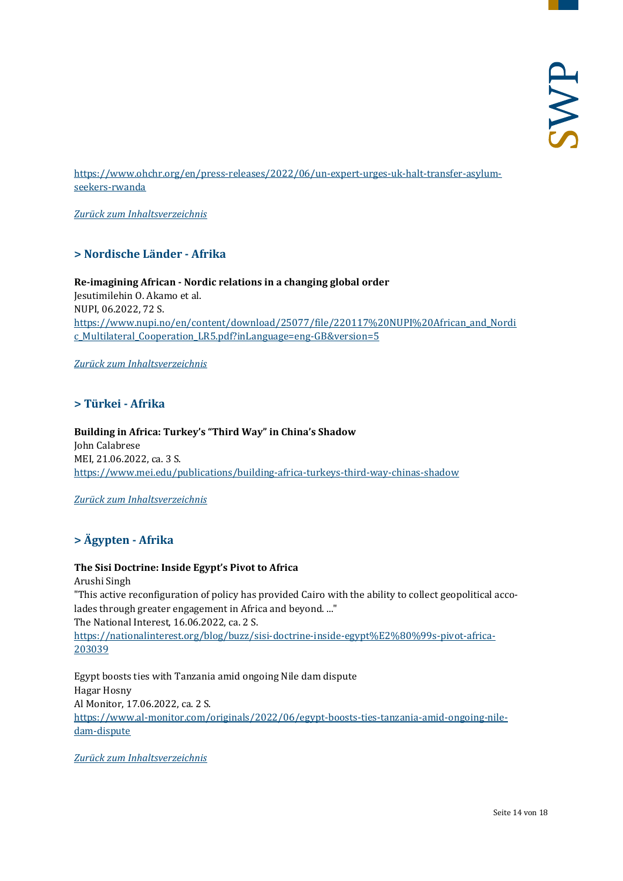[https://www.ohchr.org/en/press-releases/2022/06/un-expert-urges-uk-halt-transfer-asylum](https://www.ohchr.org/en/press-releases/2022/06/un-expert-urges-uk-halt-transfer-asylum-seekers-rwanda)[seekers-rwanda](https://www.ohchr.org/en/press-releases/2022/06/un-expert-urges-uk-halt-transfer-asylum-seekers-rwanda)

<span id="page-13-0"></span>*[Zurück zum Inhaltsverzeichnis](#page-0-0)*

# **> Nordische Länder - Afrika**

**Re-imagining African - Nordic relations in a changing global order** Jesutimilehin O. Akamo et al. NUPI, 06.2022, 72 S. [https://www.nupi.no/en/content/download/25077/file/220117%20NUPI%20African\\_and\\_Nordi](https://www.nupi.no/en/content/download/25077/file/220117%20NUPI%20African_and_Nordic_Multilateral_Cooperation_LR5.pdf?inLanguage=eng-GB&version=5) [c\\_Multilateral\\_Cooperation\\_LR5.pdf?inLanguage=eng-GB&version=5](https://www.nupi.no/en/content/download/25077/file/220117%20NUPI%20African_and_Nordic_Multilateral_Cooperation_LR5.pdf?inLanguage=eng-GB&version=5)

<span id="page-13-1"></span>*[Zurück zum Inhaltsverzeichnis](#page-0-0)*

# **> Türkei - Afrika**

**Building in Africa: Turkey's "Third Way" in China's Shadow** John Calabrese MEI, 21.06.2022, ca. 3 S. <https://www.mei.edu/publications/building-africa-turkeys-third-way-chinas-shadow>

#### <span id="page-13-2"></span>*[Zurück zum Inhaltsverzeichnis](#page-0-0)*

# **> Ägypten - Afrika**

#### **The Sisi Doctrine: Inside Egypt's Pivot to Africa**

Arushi Singh "This active reconfiguration of policy has provided Cairo with the ability to collect geopolitical accolades through greater engagement in Africa and beyond. ..." The National Interest, 16.06.2022, ca. 2 S. [https://nationalinterest.org/blog/buzz/sisi-doctrine-inside-egypt%E2%80%99s-pivot-africa-](https://nationalinterest.org/blog/buzz/sisi-doctrine-inside-egypt%E2%80%99s-pivot-africa-203039)[203039](https://nationalinterest.org/blog/buzz/sisi-doctrine-inside-egypt%E2%80%99s-pivot-africa-203039)

Egypt boosts ties with Tanzania amid ongoing Nile dam dispute Hagar Hosny Al Monitor, 17.06.2022, ca. 2 S. [https://www.al-monitor.com/originals/2022/06/egypt-boosts-ties-tanzania-amid-ongoing-nile](https://www.al-monitor.com/originals/2022/06/egypt-boosts-ties-tanzania-amid-ongoing-nile-dam-dispute)[dam-dispute](https://www.al-monitor.com/originals/2022/06/egypt-boosts-ties-tanzania-amid-ongoing-nile-dam-dispute)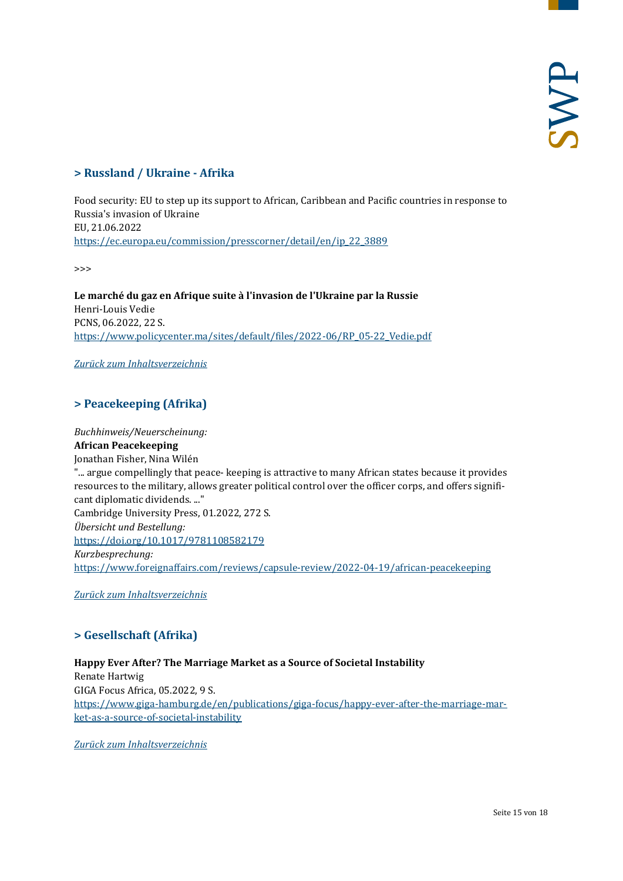# <span id="page-14-0"></span>**> Russland / Ukraine - Afrika**

Food security: EU to step up its support to African, Caribbean and Pacific countries in response to Russia's invasion of Ukraine EU, 21.06.2022 [https://ec.europa.eu/commission/presscorner/detail/en/ip\\_22\\_3889](https://ec.europa.eu/commission/presscorner/detail/en/ip_22_3889)

>>>

**Le marché du gaz en Afrique suite à l'invasion de l'Ukraine par la Russie** Henri-Louis Vedie PCNS, 06.2022, 22 S. [https://www.policycenter.ma/sites/default/files/2022-06/RP\\_05-22\\_Vedie.pdf](https://www.policycenter.ma/sites/default/files/2022-06/RP_05-22_Vedie.pdf)

<span id="page-14-1"></span>*[Zurück zum Inhaltsverzeichnis](#page-0-0)*

# **> Peacekeeping (Afrika)**

*Buchhinweis/Neuerscheinung:* **African Peacekeeping** Jonathan Fisher, Nina Wilén "... argue compellingly that peace- keeping is attractive to many African states because it provides resources to the military, allows greater political control over the officer corps, and offers significant diplomatic dividends. ..." Cambridge University Press, 01.2022, 272 S. *Übersicht und Bestellung:* <https://doi.org/10.1017/9781108582179> *Kurzbesprechung:* <https://www.foreignaffairs.com/reviews/capsule-review/2022-04-19/african-peacekeeping>

<span id="page-14-2"></span>*[Zurück zum Inhaltsverzeichnis](#page-0-0)*

# **> Gesellschaft (Afrika)**

#### **Happy Ever After? The Marriage Market as a Source of Societal Instability** Renate Hartwig GIGA Focus Africa, 05.2022, 9 S. [https://www.giga-hamburg.de/en/publications/giga-focus/happy-ever-after-the-marriage-mar](https://www.giga-hamburg.de/en/publications/giga-focus/happy-ever-after-the-marriage-market-as-a-source-of-societal-instability)[ket-as-a-source-of-societal-instability](https://www.giga-hamburg.de/en/publications/giga-focus/happy-ever-after-the-marriage-market-as-a-source-of-societal-instability)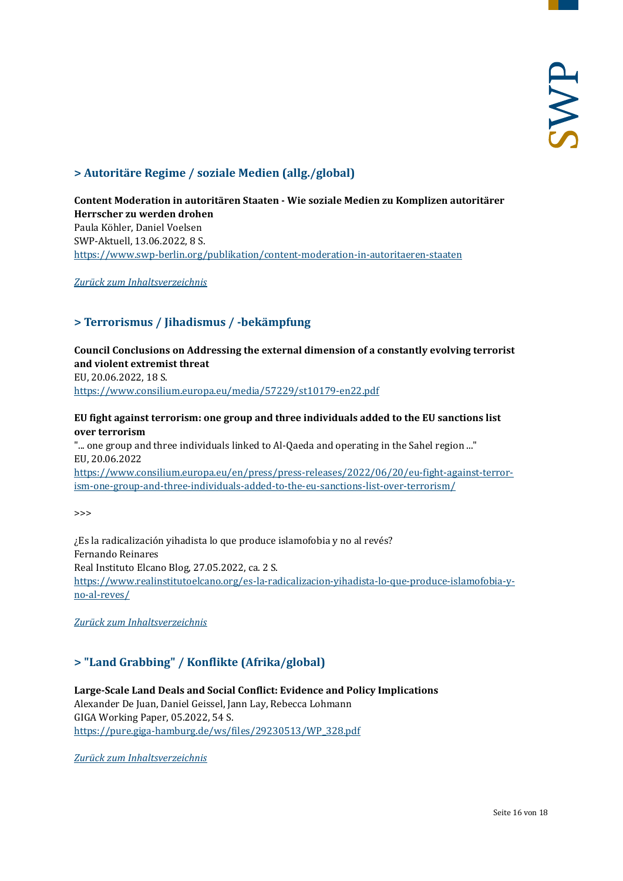# <span id="page-15-0"></span>**> Autoritäre Regime / soziale Medien (allg./global)**

**Content Moderation in autoritären Staaten - Wie soziale Medien zu Komplizen autoritärer Herrscher zu werden drohen** Paula Köhler, Daniel Voelsen SWP-Aktuell, 13.06.2022, 8 S. <https://www.swp-berlin.org/publikation/content-moderation-in-autoritaeren-staaten>

<span id="page-15-1"></span>*[Zurück zum Inhaltsverzeichnis](#page-0-0)*

# **> Terrorismus / Jihadismus / -bekämpfung**

**Council Conclusions on Addressing the external dimension of a constantly evolving terrorist and violent extremist threat** EU, 20.06.2022, 18 S. <https://www.consilium.europa.eu/media/57229/st10179-en22.pdf>

#### **EU fight against terrorism: one group and three individuals added to the EU sanctions list over terrorism**

"... one group and three individuals linked to Al-Qaeda and operating in the Sahel region ..." EU, 20.06.2022 [https://www.consilium.europa.eu/en/press/press-releases/2022/06/20/eu-fight-against-terror-](https://www.consilium.europa.eu/en/press/press-releases/2022/06/20/eu-fight-against-terrorism-one-group-and-three-individuals-added-to-the-eu-sanctions-list-over-terrorism/)

[ism-one-group-and-three-individuals-added-to-the-eu-sanctions-list-over-terrorism/](https://www.consilium.europa.eu/en/press/press-releases/2022/06/20/eu-fight-against-terrorism-one-group-and-three-individuals-added-to-the-eu-sanctions-list-over-terrorism/)

>>>

¿Es la radicalización yihadista lo que produce islamofobia y no al revés? Fernando Reinares Real Instituto Elcano Blog, 27.05.2022, ca. 2 S. [https://www.realinstitutoelcano.org/es-la-radicalizacion-yihadista-lo-que-produce-islamofobia-y](https://www.realinstitutoelcano.org/es-la-radicalizacion-yihadista-lo-que-produce-islamofobia-y-no-al-reves/)[no-al-reves/](https://www.realinstitutoelcano.org/es-la-radicalizacion-yihadista-lo-que-produce-islamofobia-y-no-al-reves/)

<span id="page-15-2"></span>*[Zurück zum Inhaltsverzeichnis](#page-0-0)*

# **> "Land Grabbing" / Konflikte (Afrika/global)**

**Large-Scale Land Deals and Social Conflict: Evidence and Policy Implications** Alexander De Juan, Daniel Geissel, Jann Lay, Rebecca Lohmann GIGA Working Paper, 05.2022, 54 S. [https://pure.giga-hamburg.de/ws/files/29230513/WP\\_328.pdf](https://pure.giga-hamburg.de/ws/files/29230513/WP_328.pdf)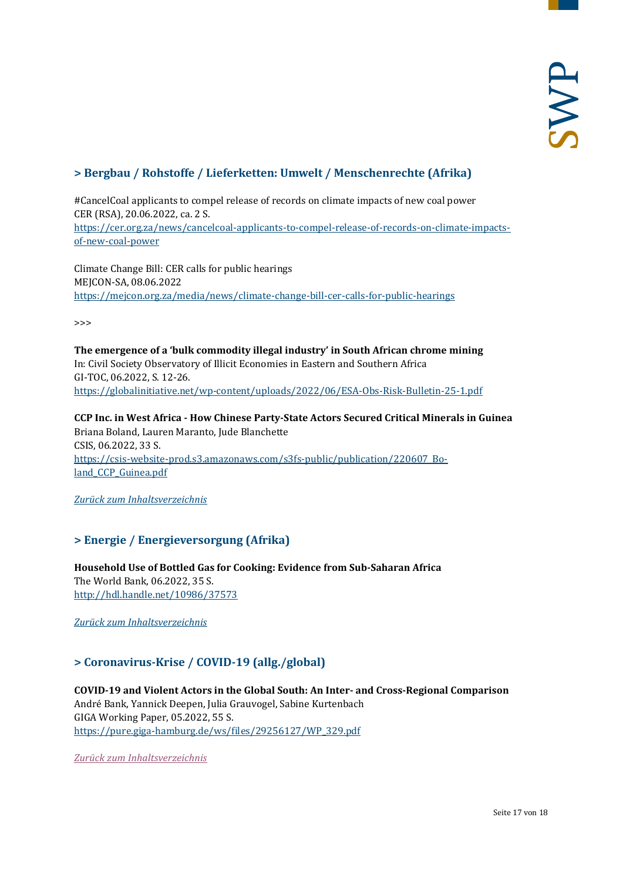# <span id="page-16-0"></span>**> Bergbau / Rohstoffe / Lieferketten: Umwelt / Menschenrechte (Afrika)**

#CancelCoal applicants to compel release of records on climate impacts of new coal power CER (RSA), 20.06.2022, ca. 2 S. [https://cer.org.za/news/cancelcoal-applicants-to-compel-release-of-records-on-climate-impacts](https://cer.org.za/news/cancelcoal-applicants-to-compel-release-of-records-on-climate-impacts-of-new-coal-power)[of-new-coal-power](https://cer.org.za/news/cancelcoal-applicants-to-compel-release-of-records-on-climate-impacts-of-new-coal-power)

Climate Change Bill: CER calls for public hearings MEJCON-SA, 08.06.2022 <https://mejcon.org.za/media/news/climate-change-bill-cer-calls-for-public-hearings>

>>>

**The emergence of a 'bulk commodity illegal industry' in South African chrome mining** In: Civil Society Observatory of Illicit Economies in Eastern and Southern Africa GI-TOC, 06.2022, S. 12-26. <https://globalinitiative.net/wp-content/uploads/2022/06/ESA-Obs-Risk-Bulletin-25-1.pdf>

**CCP Inc. in West Africa - How Chinese Party-State Actors Secured Critical Minerals in Guinea** Briana Boland, Lauren Maranto, Jude Blanchette CSIS, 06.2022, 33 S. [https://csis-website-prod.s3.amazonaws.com/s3fs-public/publication/220607\\_Bo](https://csis-website-prod.s3.amazonaws.com/s3fs-public/publication/220607_Boland_CCP_Guinea.pdf)land CCP Guinea.pdf

<span id="page-16-1"></span>*[Zurück zum Inhaltsverzeichnis](#page-0-0)*

# **> Energie / Energieversorgung (Afrika)**

**Household Use of Bottled Gas for Cooking: Evidence from Sub-Saharan Africa** The World Bank, 06.2022, 35 S. <http://hdl.handle.net/10986/37573>

<span id="page-16-2"></span>*[Zurück zum Inhaltsverzeichnis](#page-0-0)*

# **> Coronavirus-Krise / COVID-19 (allg./global)**

**COVID-19 and Violent Actors in the Global South: An Inter- and Cross-Regional Comparison** André Bank, Yannick Deepen, Julia Grauvogel, Sabine Kurtenbach GIGA Working Paper, 05.2022, 55 S. [https://pure.giga-hamburg.de/ws/files/29256127/WP\\_329.pdf](https://pure.giga-hamburg.de/ws/files/29256127/WP_329.pdf)